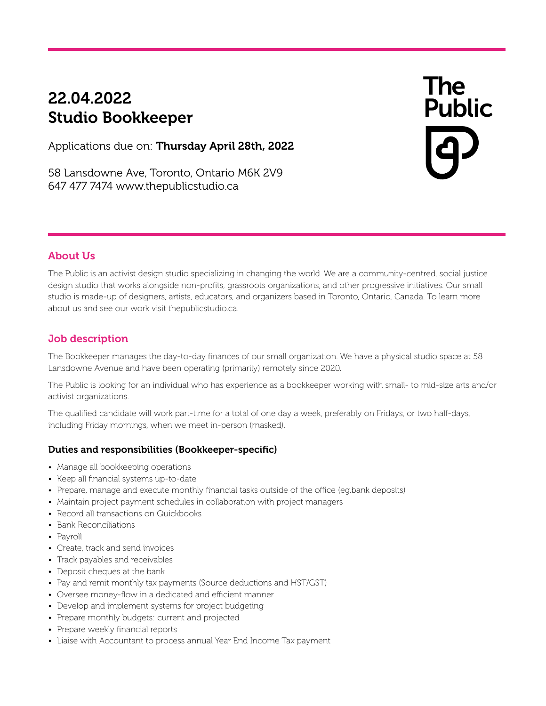# 22.04.2022<br>Studio Bookkeeper Studio Bookkeeper

Applications due on: Thursday April 28th, 2022

58 Lansdowne Ave, Toronto, Ontario M6K 2V9 647 477 7474 www.thepublicstudio.ca

# **The**

### About Us

The Public is an activist design studio specializing in changing the world. We are a community-centred, social justice design studio that works alongside non-profits, grassroots organizations, and other progressive initiatives. Our small studio is made-up of designers, artists, educators, and organizers based in Toronto, Ontario, Canada. To learn more about us and see our work visit thepublicstudio.ca.

## Job description

The Bookkeeper manages the day-to-day finances of our small organization. We have a physical studio space at 58 Lansdowne Avenue and have been operating (primarily) remotely since 2020.

The Public is looking for an individual who has experience as a bookkeeper working with small- to mid-size arts and/or activist organizations.

The qualified candidate will work part-time for a total of one day a week, preferably on Fridays, or two half-days, including Friday mornings, when we meet in-person (masked).

#### Duties and responsibilities (Bookkeeper-specific)

- Manage all bookkeeping operations
- Keep all financial systems up-to-date
- Prepare, manage and execute monthly financial tasks outside of the office (eg.bank deposits)
- Maintain project payment schedules in collaboration with project managers
- Record all transactions on Quickbooks
- Bank Reconciliations
- Payroll
- Create, track and send invoices
- Track payables and receivables
- Deposit cheques at the bank
- Pay and remit monthly tax payments (Source deductions and HST/GST)
- Oversee money-flow in a dedicated and efficient manner
- Develop and implement systems for project budgeting
- Prepare monthly budgets: current and projected
- Prepare weekly financial reports
- Liaise with Accountant to process annual Year End Income Tax payment